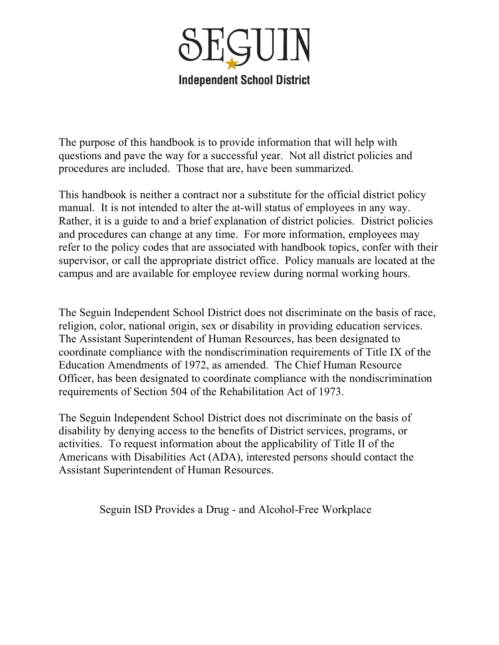

The purpose of this handbook is to provide information that will help with questions and pave the way for a successful year. Not all district policies and procedures are included. Those that are, have been summarized.

This handbook is neither a contract nor a substitute for the official district policy manual. It is not intended to alter the at-will status of employees in any way. Rather, it is a guide to and a brief explanation of district policies. District policies and procedures can change at any time. For more information, employees may refer to the policy codes that are associated with handbook topics, confer with their supervisor, or call the appropriate district office. Policy manuals are located at the campus and are available for employee review during normal working hours.

The Seguin Independent School District does not discriminate on the basis of race, religion, color, national origin, sex or disability in providing education services. The Assistant Superintendent of Human Resources, has been designated to coordinate compliance with the nondiscrimination requirements of Title IX of the Education Amendments of 1972, as amended. The Chief Human Resource Officer, has been designated to coordinate compliance with the nondiscrimination requirements of Section 504 of the Rehabilitation Act of 1973.

The Seguin Independent School District does not discriminate on the basis of disability by denying access to the benefits of District services, programs, or activities. To request information about the applicability of Title II of the Americans with Disabilities Act (ADA), interested persons should contact the Assistant Superintendent of Human Resources.

Seguin ISD Provides a Drug - and Alcohol-Free Workplace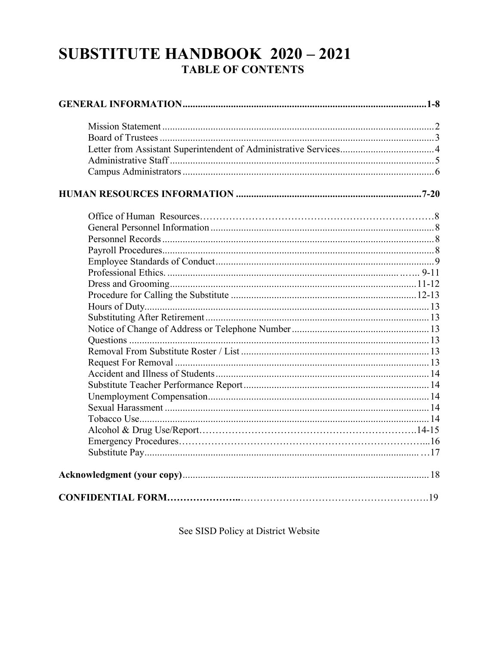# **SUBSTITUTE HANDBOOK 2020 - 2021 TABLE OF CONTENTS**

See SISD Policy at District Website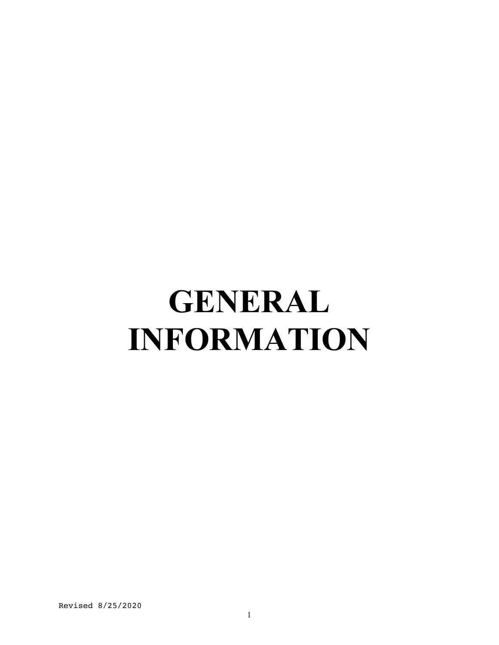# **GENERAL INFORMATION**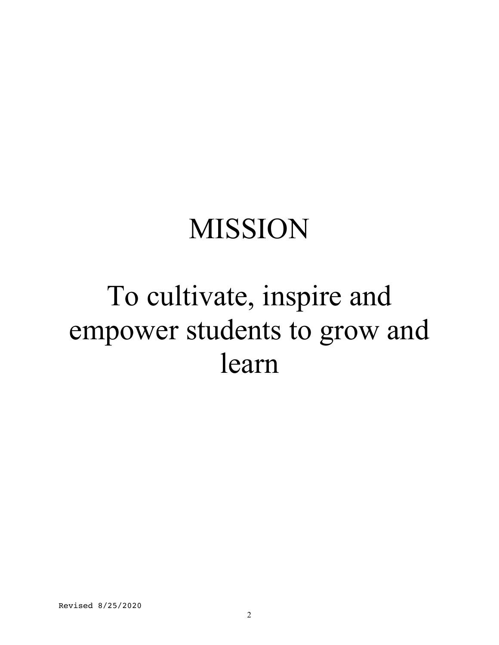# MISSION

# To cultivate, inspire and empower students to grow and learn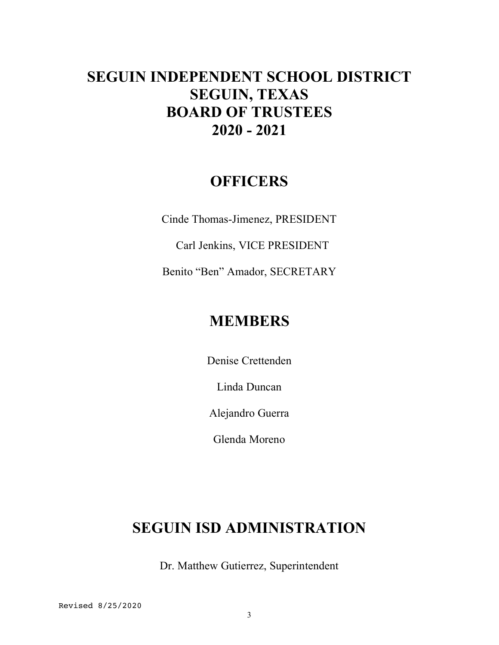# **SEGUIN INDEPENDENT SCHOOL DISTRICT SEGUIN, TEXAS BOARD OF TRUSTEES 2020 - 2021**

## **OFFICERS**

Cinde Thomas-Jimenez, PRESIDENT

Carl Jenkins, VICE PRESIDENT

Benito "Ben" Amador, SECRETARY

## **MEMBERS**

Denise Crettenden

Linda Duncan

Alejandro Guerra

Glenda Moreno

# **SEGUIN ISD ADMINISTRATION**

Dr. Matthew Gutierrez, Superintendent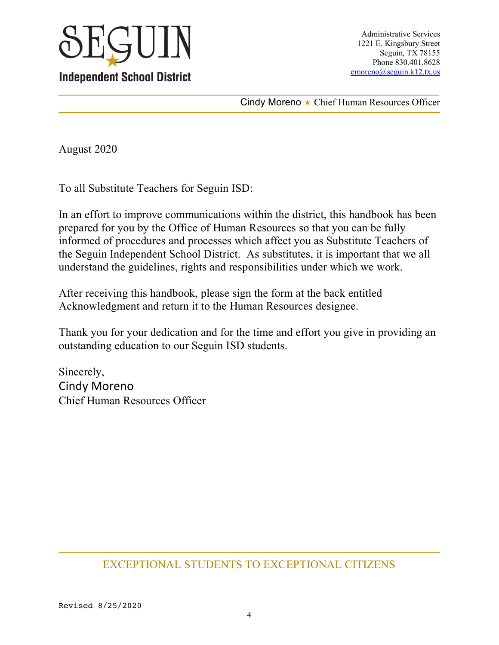

Cindy Moreno  $\star$  Chief Human Resources Officer

August 2020

To all Substitute Teachers for Seguin ISD:

In an effort to improve communications within the district, this handbook has been prepared for you by the Office of Human Resources so that you can be fully informed of procedures and processes which affect you as Substitute Teachers of the Seguin Independent School District. As substitutes, it is important that we all understand the guidelines, rights and responsibilities under which we work.

After receiving this handbook, please sign the form at the back entitled Acknowledgment and return it to the Human Resources designee.

Thank you for your dedication and for the time and effort you give in providing an outstanding education to our Seguin ISD students.

Sincerely, Cindy Moreno Chief Human Resources Officer

### EXCEPTIONAL STUDENTS TO EXCEPTIONAL CITIZENS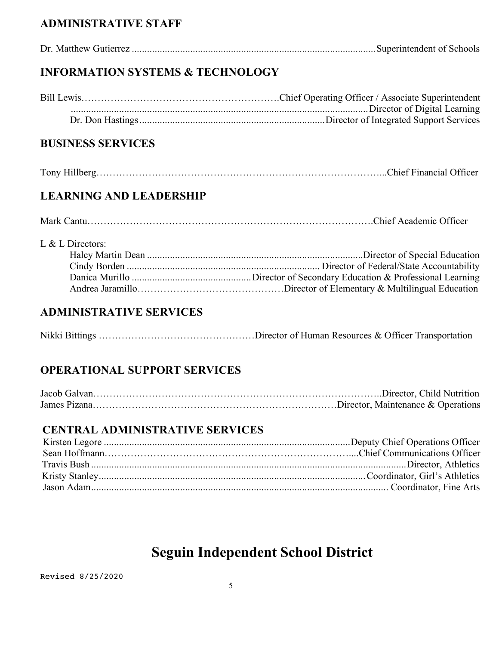### **ADMINISTRATIVE STAFF**

Dr. Matthew Gutierrez ................................................................................................Superintendent of Schools

### **INFORMATION SYSTEMS & TECHNOLOGY**

#### **BUSINESS SERVICES**

#### **LEARNING AND LEADERSHIP**

|--|--|

#### L & L Directors:

#### **ADMINISTRATIVE SERVICES**

|--|--|--|--|--|

#### **OPERATIONAL SUPPORT SERVICES**

#### **CENTRAL ADMINISTRATIVE SERVICES**

# **Seguin Independent School District**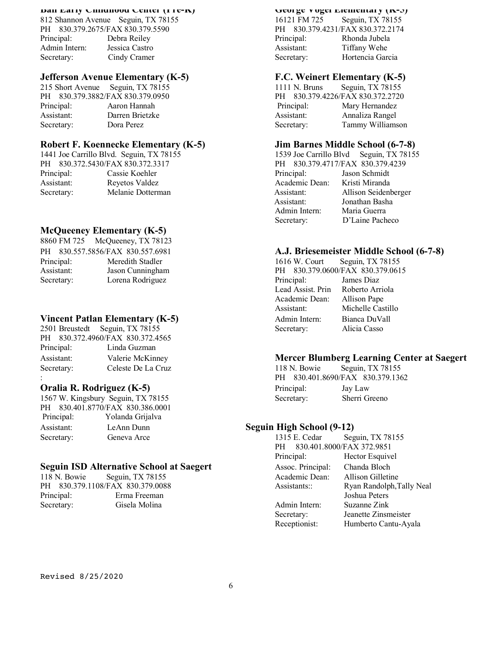| 812 Shannon Avenue Seguin, IX /81 |                |
|-----------------------------------|----------------|
| PH 830.379.2675/FAX 830.379.5590  |                |
| Principal:                        | Debra Reiley   |
| Admin Intern:                     | Jessica Castro |
| Secretary:                        | Cindy Cramer   |

#### **Jefferson Avenue Elementary (K-5) F.C. Weinert Elementary (K-5)**

PH 830.379.3882/FAX 830.379.0950 PH 830.379.4226/FAX 830.372.2720 Principal: Aaron Hannah Principal: Mary Hernandez Assistant: Darren Brietzke **Assistant:** Annaliza Rangel Secretary: Dora Perez Secretary: Tammy Williamson

#### **Robert F. Koennecke Elementary (K-5) Jim Barnes Middle School (6-7-8)**

|                                  | 1441 Joe Carrillo Blvd. Seguin, TX 7815 |
|----------------------------------|-----------------------------------------|
| PH 830.372.5430/FAX 830.372.3317 |                                         |
| Principal:                       | Cassie Koehler                          |
| Assistant:                       | Reyetos Valdez                          |
| Secretary:                       | Melanie Dotterman                       |

#### **McQueeney Elementary (K-5)**

|            | 8860 FM 725 McQueeney, TX 78123  |                                  |
|------------|----------------------------------|----------------------------------|
|            | PH 830.557.5856/FAX 830.557.6981 | A.J. Briesemeister Middle Scho   |
| Principal: | Meredith Stadler                 | 1616 W. Court Seguin, TX 78155   |
| Assistant: | Jason Cunningham                 | PH 830.379.0600/FAX 830.379.0615 |
| Secretary: | Lorena Rodriguez                 | Principal:<br>James Diaz         |

#### **Vincent Patlan Elementary (K-5)**

|            | 2501 Breustedt Seguin, TX 78155  | Secretary:   | Alicia Casso                   |
|------------|----------------------------------|--------------|--------------------------------|
|            | PH 830.372.4960/FAX 830.372.4565 |              |                                |
| Principal: | Linda Guzman                     |              |                                |
| Assistant: | Valerie McKinney                 |              | <b>Mercer Blumberg Learnin</b> |
| Secretary: | Celeste De La Cruz               | 118 N. Bowie | Seguin, TX 7                   |

#### **Oralia R. Rodriguez (K-5)** Principal: Jay Law

|            | 1567 W. Kingsbury Seguin, TX 78155 |                                  |
|------------|------------------------------------|----------------------------------|
|            |                                    | PH 830.401.8770/FAX 830.386.0001 |
| Principal: |                                    | Yolanda Grijalva                 |
| Assistant: |                                    | LeAnn Dunn                       |
| Secretary: |                                    | Geneva Arce                      |

#### **Seguin ISD Alternative School at Saegert**

| 118 N. Bowie | Seguin, $TX$ 78155               | Academic Dean: | <b>Allison Gillet</b> |
|--------------|----------------------------------|----------------|-----------------------|
|              | PH 830.379.1108/FAX 830.379.0088 | Assistants:    | Ryan Randolp          |
| Principal:   | Erma Freeman                     |                | Joshua Peters         |
| Secretary:   | Gisela Molina                    | Admin Intern:  | Suzanne Zink          |

## **Ball Early Childhood Center (Pre-K) George Vogel Elementary (K-3)**<br>
812 Shannon Avenue Seguin TX 78155 **George 16121 FM 725** Seguin TX 78155

16121 FM 725 Seguin, TX 78155 PH 830.379.4231/FAX 830.372.2174 Principal: Rhonda Jubela Assistant: Tiffany Wehe Secretary: Hortencia Garcia

215 Short Avenue Seguin, TX 78155 1111 N. Bruns Seguin, TX 78155

1539 Joe Carrillo Blvd. Seguin, TX 78155 PH 830.379.4717/FAX 830.379.4239 Principal: Jason Schmidt Academic Dean: Kristi Miranda Assistant: Allison Seidenberger Assistant: Jonathan Basha Admin Intern: Maria Guerra **Secretary:** D'Laine Pacheco

#### A.J. Briesemeister Middle School (6-7-8)

| Principal:<br>Meredith Stadler  | 1616 W. Court                     | Seguin, TX 78155  |
|---------------------------------|-----------------------------------|-------------------|
| Assistant:<br>Jason Cunningham  | PH 830.379.0600/FAX 830.379.061;  |                   |
| Secretary:<br>Lorena Rodriguez  | Principal:                        | James Diaz        |
|                                 | Lead Assist. Prin Roberto Arriola |                   |
|                                 | Academic Dean:                    | Allison Pape      |
|                                 | Assistant:                        | Michelle Castillo |
| Vincent Patlan Elementary (K-5) | Admin Intern:                     | Bianca DuVall     |
| 2501 Breustedt Seguin, TX 78155 | Secretary:                        | Alicia Casso      |

#### **Mercer Blumberg Learning Center at Saegert**

 $118$  N. Bowie Seguin, TX 78155 PH 830.401.8690/FAX 830.379.1362 1567 Secretary: Sherri Greeno

#### **Seguin High School (9-12)**

| Secretary:   | Geneva Arce                                     | 1315 E. Cedar     | Seguin, TX 78155          |
|--------------|-------------------------------------------------|-------------------|---------------------------|
|              |                                                 | PH.               | 830.401.8000/FAX 372.9851 |
|              |                                                 | Principal:        | Hector Esquivel           |
|              | <b>Seguin ISD Alternative School at Saegert</b> | Assoc. Principal: | Chanda Bloch              |
| 118 N. Bowie | Seguin, $TX$ 78155                              | Academic Dean:    | Allison Gilletine         |
|              | PH 830.379.1108/FAX 830.379.0088                | Assistants::      | Ryan Randolph, Tally Neal |
| Principal:   | Erma Freeman                                    |                   | Joshua Peters             |
| Secretary:   | Gisela Molina                                   | Admin Intern:     | Suzanne Zink              |
|              |                                                 | Secretary:        | Jeanette Zinsmeister      |
|              |                                                 | Receptionist:     | Humberto Cantu-Ayala      |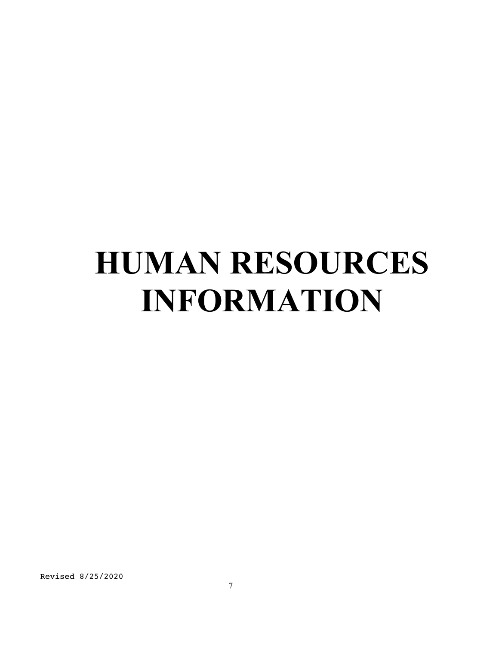# **HUMAN RESOURCES INFORMATION**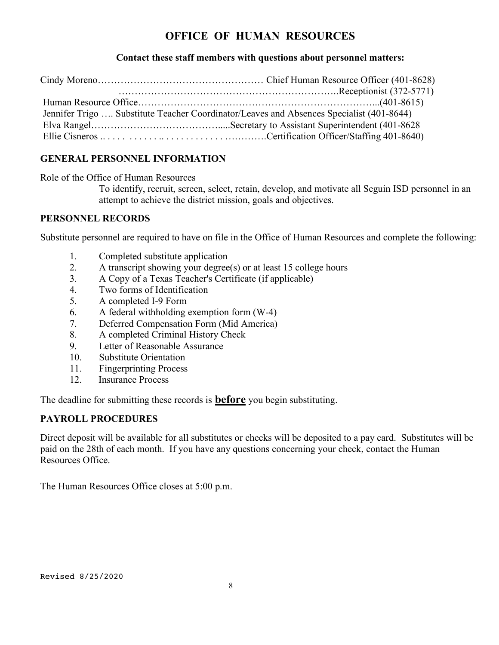#### **OFFICE OF HUMAN RESOURCES**

#### **Contact these staff members with questions about personnel matters:**

| Jennifer Trigo  Substitute Teacher Coordinator/Leaves and Absences Specialist (401-8644) |  |  |  |
|------------------------------------------------------------------------------------------|--|--|--|
|                                                                                          |  |  |  |
|                                                                                          |  |  |  |

#### **GENERAL PERSONNEL INFORMATION**

Role of the Office of Human Resources

To identify, recruit, screen, select, retain, develop, and motivate all Seguin ISD personnel in an attempt to achieve the district mission, goals and objectives.

#### **PERSONNEL RECORDS**

Substitute personnel are required to have on file in the Office of Human Resources and complete the following:

- 1. Completed substitute application
- 2. A transcript showing your degree(s) or at least 15 college hours
- 3. A Copy of a Texas Teacher's Certificate (if applicable)
- 4. Two forms of Identification
- 5. A completed I-9 Form
- 6. A federal withholding exemption form (W-4)
- 7. Deferred Compensation Form (Mid America)
- 8. A completed Criminal History Check
- 9. Letter of Reasonable Assurance
- 10. Substitute Orientation
- 11. Fingerprinting Process
- 12. Insurance Process

The deadline for submitting these records is **before** you begin substituting.

#### **PAYROLL PROCEDURES**

Direct deposit will be available for all substitutes or checks will be deposited to a pay card. Substitutes will be paid on the 28th of each month. If you have any questions concerning your check, contact the Human Resources Office.

The Human Resources Office closes at 5:00 p.m.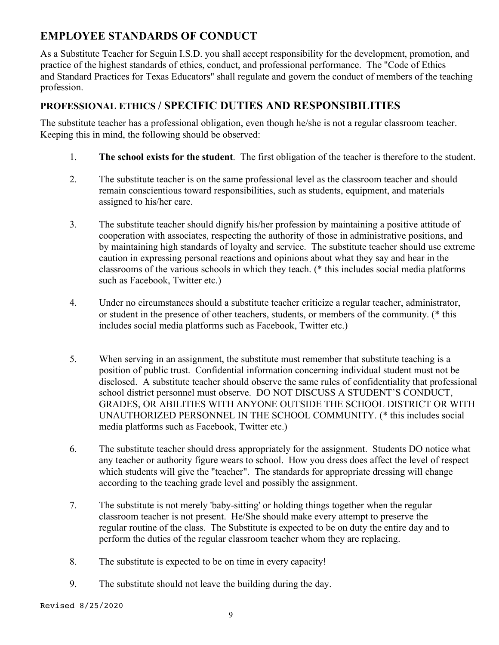### **EMPLOYEE STANDARDS OF CONDUCT**

As a Substitute Teacher for Seguin I.S.D. you shall accept responsibility for the development, promotion, and practice of the highest standards of ethics, conduct, and professional performance. The "Code of Ethics and Standard Practices for Texas Educators" shall regulate and govern the conduct of members of the teaching profession.

#### **PROFESSIONAL ETHICS / SPECIFIC DUTIES AND RESPONSIBILITIES**

The substitute teacher has a professional obligation, even though he/she is not a regular classroom teacher. Keeping this in mind, the following should be observed:

- 1. **The school exists for the student**. The first obligation of the teacher is therefore to the student.
- 2. The substitute teacher is on the same professional level as the classroom teacher and should remain conscientious toward responsibilities, such as students, equipment, and materials assigned to his/her care.
- 3. The substitute teacher should dignify his/her profession by maintaining a positive attitude of cooperation with associates, respecting the authority of those in administrative positions, and by maintaining high standards of loyalty and service. The substitute teacher should use extreme caution in expressing personal reactions and opinions about what they say and hear in the classrooms of the various schools in which they teach. (\* this includes social media platforms such as Facebook, Twitter etc.)
- 4. Under no circumstances should a substitute teacher criticize a regular teacher, administrator, or student in the presence of other teachers, students, or members of the community. (\* this includes social media platforms such as Facebook, Twitter etc.)
- 5. When serving in an assignment, the substitute must remember that substitute teaching is a position of public trust. Confidential information concerning individual student must not be disclosed. A substitute teacher should observe the same rules of confidentiality that professional school district personnel must observe. DO NOT DISCUSS A STUDENT'S CONDUCT, GRADES, OR ABILITIES WITH ANYONE OUTSIDE THE SCHOOL DISTRICT OR WITH UNAUTHORIZED PERSONNEL IN THE SCHOOL COMMUNITY. (\* this includes social media platforms such as Facebook, Twitter etc.)
- 6. The substitute teacher should dress appropriately for the assignment. Students DO notice what any teacher or authority figure wears to school. How you dress does affect the level of respect which students will give the "teacher". The standards for appropriate dressing will change according to the teaching grade level and possibly the assignment.
- 7. The substitute is not merely 'baby-sitting' or holding things together when the regular classroom teacher is not present. He/She should make every attempt to preserve the regular routine of the class. The Substitute is expected to be on duty the entire day and to perform the duties of the regular classroom teacher whom they are replacing.
- 8. The substitute is expected to be on time in every capacity!
- 9. The substitute should not leave the building during the day.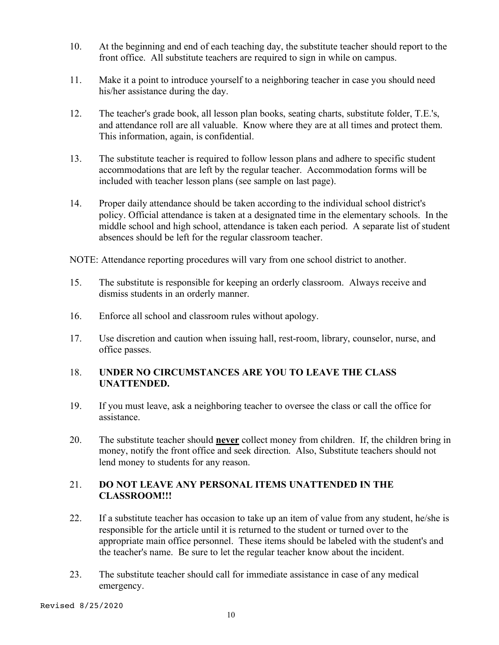- 10. At the beginning and end of each teaching day, the substitute teacher should report to the front office. All substitute teachers are required to sign in while on campus.
- 11. Make it a point to introduce yourself to a neighboring teacher in case you should need his/her assistance during the day.
- 12. The teacher's grade book, all lesson plan books, seating charts, substitute folder, T.E.'s, and attendance roll are all valuable. Know where they are at all times and protect them. This information, again, is confidential.
- 13. The substitute teacher is required to follow lesson plans and adhere to specific student accommodations that are left by the regular teacher. Accommodation forms will be included with teacher lesson plans (see sample on last page).
- 14. Proper daily attendance should be taken according to the individual school district's policy. Official attendance is taken at a designated time in the elementary schools. In the middle school and high school, attendance is taken each period. A separate list of student absences should be left for the regular classroom teacher.

NOTE: Attendance reporting procedures will vary from one school district to another.

- 15. The substitute is responsible for keeping an orderly classroom. Always receive and dismiss students in an orderly manner.
- 16. Enforce all school and classroom rules without apology.
- 17. Use discretion and caution when issuing hall, rest-room, library, counselor, nurse, and office passes.

#### 18. **UNDER NO CIRCUMSTANCES ARE YOU TO LEAVE THE CLASS UNATTENDED.**

- 19. If you must leave, ask a neighboring teacher to oversee the class or call the office for assistance.
- 20. The substitute teacher should **never** collect money from children. If, the children bring in money, notify the front office and seek direction. Also, Substitute teachers should not lend money to students for any reason.

#### 21. **DO NOT LEAVE ANY PERSONAL ITEMS UNATTENDED IN THE CLASSROOM!!!**

- 22. If a substitute teacher has occasion to take up an item of value from any student, he/she is responsible for the article until it is returned to the student or turned over to the appropriate main office personnel. These items should be labeled with the student's and the teacher's name. Be sure to let the regular teacher know about the incident.
- 23. The substitute teacher should call for immediate assistance in case of any medical emergency.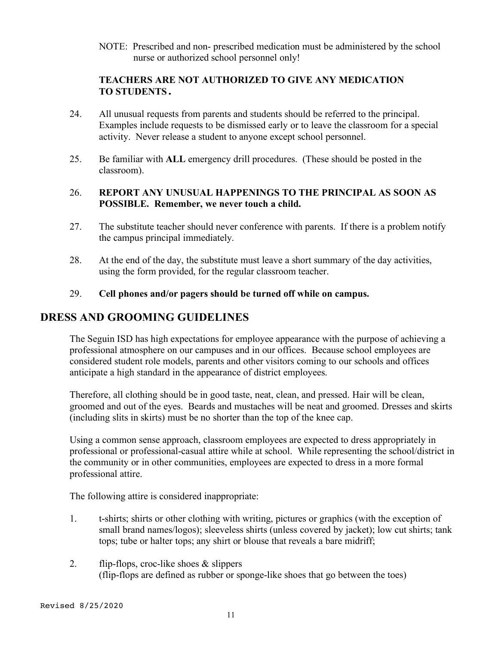NOTE: Prescribed and non- prescribed medication must be administered by the school nurse or authorized school personnel only!

#### **TEACHERS ARE NOT AUTHORIZED TO GIVE ANY MEDICATION TO STUDENTS.**

- 24. All unusual requests from parents and students should be referred to the principal. Examples include requests to be dismissed early or to leave the classroom for a special activity. Never release a student to anyone except school personnel.
- 25. Be familiar with **ALL** emergency drill procedures. (These should be posted in the classroom).

#### 26. **REPORT ANY UNUSUAL HAPPENINGS TO THE PRINCIPAL AS SOON AS POSSIBLE. Remember, we never touch a child.**

- 27. The substitute teacher should never conference with parents. If there is a problem notify the campus principal immediately.
- 28. At the end of the day, the substitute must leave a short summary of the day activities, using the form provided, for the regular classroom teacher.
- 29. **Cell phones and/or pagers should be turned off while on campus.**

#### **DRESS AND GROOMING GUIDELINES**

The Seguin ISD has high expectations for employee appearance with the purpose of achieving a professional atmosphere on our campuses and in our offices. Because school employees are considered student role models, parents and other visitors coming to our schools and offices anticipate a high standard in the appearance of district employees.

Therefore, all clothing should be in good taste, neat, clean, and pressed. Hair will be clean, groomed and out of the eyes. Beards and mustaches will be neat and groomed. Dresses and skirts (including slits in skirts) must be no shorter than the top of the knee cap.

Using a common sense approach, classroom employees are expected to dress appropriately in professional or professional-casual attire while at school. While representing the school/district in the community or in other communities, employees are expected to dress in a more formal professional attire.

The following attire is considered inappropriate:

- 1. t-shirts; shirts or other clothing with writing, pictures or graphics (with the exception of small brand names/logos); sleeveless shirts (unless covered by jacket); low cut shirts; tank tops; tube or halter tops; any shirt or blouse that reveals a bare midriff;
- 2. flip-flops, croc-like shoes & slippers (flip-flops are defined as rubber or sponge-like shoes that go between the toes)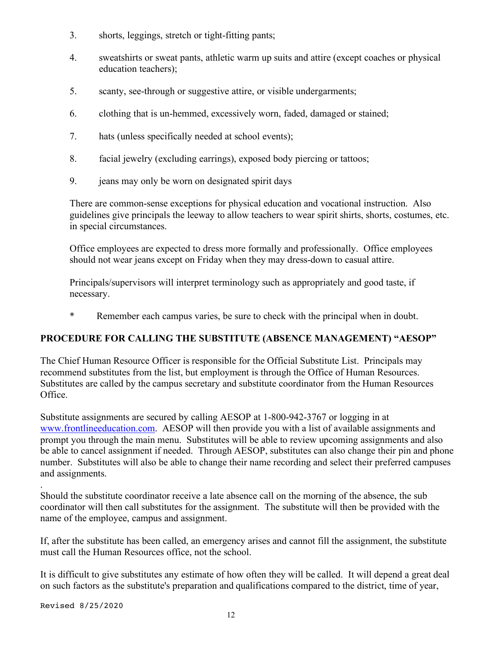- 3. shorts, leggings, stretch or tight-fitting pants;
- 4. sweatshirts or sweat pants, athletic warm up suits and attire (except coaches or physical education teachers);
- 5. scanty, see-through or suggestive attire, or visible undergarments;
- 6. clothing that is un-hemmed, excessively worn, faded, damaged or stained;
- 7. hats (unless specifically needed at school events);
- 8. facial jewelry (excluding earrings), exposed body piercing or tattoos;
- 9. jeans may only be worn on designated spirit days

There are common-sense exceptions for physical education and vocational instruction. Also guidelines give principals the leeway to allow teachers to wear spirit shirts, shorts, costumes, etc. in special circumstances.

Office employees are expected to dress more formally and professionally. Office employees should not wear jeans except on Friday when they may dress-down to casual attire.

Principals/supervisors will interpret terminology such as appropriately and good taste, if necessary.

\* Remember each campus varies, be sure to check with the principal when in doubt.

#### **PROCEDURE FOR CALLING THE SUBSTITUTE (ABSENCE MANAGEMENT) "AESOP"**

The Chief Human Resource Officer is responsible for the Official Substitute List. Principals may recommend substitutes from the list, but employment is through the Office of Human Resources. Substitutes are called by the campus secretary and substitute coordinator from the Human Resources Office.

Substitute assignments are secured by calling AESOP at 1-800-942-3767 or logging in at www.frontlineeducation.com. AESOP will then provide you with a list of available assignments and prompt you through the main menu. Substitutes will be able to review upcoming assignments and also be able to cancel assignment if needed. Through AESOP, substitutes can also change their pin and phone number. Substitutes will also be able to change their name recording and select their preferred campuses and assignments.

Should the substitute coordinator receive a late absence call on the morning of the absence, the sub coordinator will then call substitutes for the assignment. The substitute will then be provided with the name of the employee, campus and assignment.

If, after the substitute has been called, an emergency arises and cannot fill the assignment, the substitute must call the Human Resources office, not the school.

It is difficult to give substitutes any estimate of how often they will be called. It will depend a great deal on such factors as the substitute's preparation and qualifications compared to the district, time of year,

.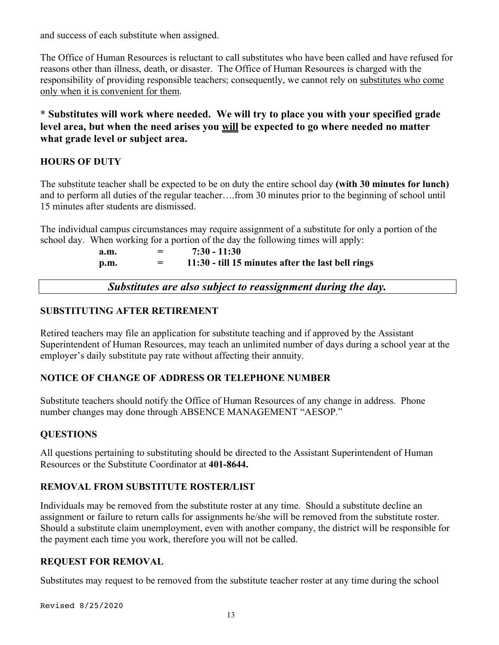and success of each substitute when assigned.

The Office of Human Resources is reluctant to call substitutes who have been called and have refused for reasons other than illness, death, or disaster. The Office of Human Resources is charged with the responsibility of providing responsible teachers; consequently, we cannot rely on substitutes who come only when it is convenient for them.

**\* Substitutes will work where needed. We will try to place you with your specified grade level area, but when the need arises you will be expected to go where needed no matter what grade level or subject area.**

#### **HOURS OF DUTY**

The substitute teacher shall be expected to be on duty the entire school day **(with 30 minutes for lunch)** and to perform all duties of the regular teacher….from 30 minutes prior to the beginning of school until 15 minutes after students are dismissed.

The individual campus circumstances may require assignment of a substitute for only a portion of the school day. When working for a portion of the day the following times will apply:

| a.m. | = | $7:30 - 11:30$                                    |
|------|---|---------------------------------------------------|
| p.m. | = | 11:30 - till 15 minutes after the last bell rings |

*Substitutes are also subject to reassignment during the day.*

#### **SUBSTITUTING AFTER RETIREMENT**

Retired teachers may file an application for substitute teaching and if approved by the Assistant Superintendent of Human Resources, may teach an unlimited number of days during a school year at the employer's daily substitute pay rate without affecting their annuity.

#### **NOTICE OF CHANGE OF ADDRESS OR TELEPHONE NUMBER**

Substitute teachers should notify the Office of Human Resources of any change in address. Phone number changes may done through ABSENCE MANAGEMENT "AESOP."

#### **QUESTIONS**

All questions pertaining to substituting should be directed to the Assistant Superintendent of Human Resources or the Substitute Coordinator at **401-8644.**

#### **REMOVAL FROM SUBSTITUTE ROSTER/LIST**

Individuals may be removed from the substitute roster at any time. Should a substitute decline an assignment or failure to return calls for assignments he/she will be removed from the substitute roster. Should a substitute claim unemployment, even with another company, the district will be responsible for the payment each time you work, therefore you will not be called.

#### **REQUEST FOR REMOVAL**

Substitutes may request to be removed from the substitute teacher roster at any time during the school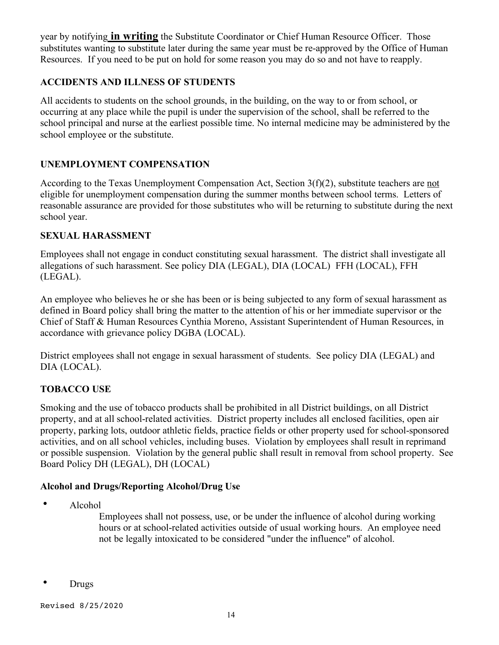year by notifying **in writing** the Substitute Coordinator or Chief Human Resource Officer. Those substitutes wanting to substitute later during the same year must be re-approved by the Office of Human Resources. If you need to be put on hold for some reason you may do so and not have to reapply.

#### **ACCIDENTS AND ILLNESS OF STUDENTS**

All accidents to students on the school grounds, in the building, on the way to or from school, or occurring at any place while the pupil is under the supervision of the school, shall be referred to the school principal and nurse at the earliest possible time. No internal medicine may be administered by the school employee or the substitute.

#### **UNEMPLOYMENT COMPENSATION**

According to the Texas Unemployment Compensation Act, Section 3(f)(2), substitute teachers are not eligible for unemployment compensation during the summer months between school terms. Letters of reasonable assurance are provided for those substitutes who will be returning to substitute during the next school year.

#### **SEXUAL HARASSMENT**

Employees shall not engage in conduct constituting sexual harassment. The district shall investigate all allegations of such harassment. See policy DIA (LEGAL), DIA (LOCAL) FFH (LOCAL), FFH (LEGAL).

An employee who believes he or she has been or is being subjected to any form of sexual harassment as defined in Board policy shall bring the matter to the attention of his or her immediate supervisor or the Chief of Staff & Human Resources Cynthia Moreno, Assistant Superintendent of Human Resources, in accordance with grievance policy DGBA (LOCAL).

District employees shall not engage in sexual harassment of students. See policy DIA (LEGAL) and DIA (LOCAL).

#### **TOBACCO USE**

Smoking and the use of tobacco products shall be prohibited in all District buildings, on all District property, and at all school-related activities. District property includes all enclosed facilities, open air property, parking lots, outdoor athletic fields, practice fields or other property used for school-sponsored activities, and on all school vehicles, including buses. Violation by employees shall result in reprimand or possible suspension. Violation by the general public shall result in removal from school property. See Board Policy DH (LEGAL), DH (LOCAL)

#### **Alcohol and Drugs/Reporting Alcohol/Drug Use**

• Alcohol

Employees shall not possess, use, or be under the influence of alcohol during working hours or at school-related activities outside of usual working hours. An employee need not be legally intoxicated to be considered "under the influence" of alcohol.

**Drugs**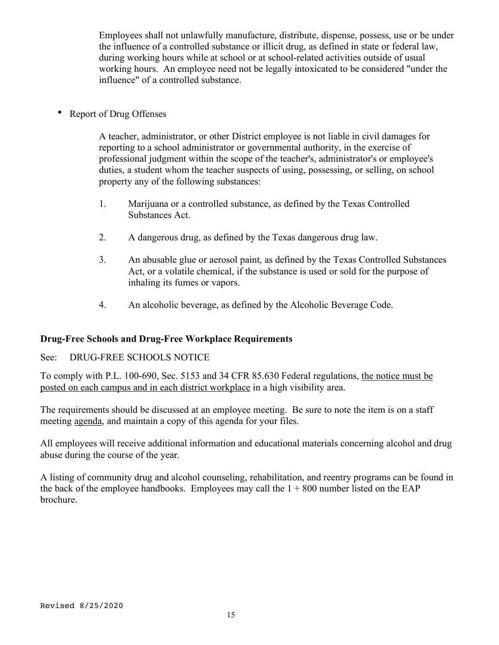Employees shall not unlawfully manufacture, distribute, dispense, possess, use or be under the influence of a controlled substance or illicit drug, as defined in state or federal law, during working hours while at school or at school-related activities outside of usual working hours. An employee need not be legally intoxicated to be considered "under the influence" of a controlled substance.

• Report of Drug Offenses

A teacher, administrator, or other District employee is not liable in civil damages for reporting to a school administrator or governmental authority, in the exercise of professional judgment within the scope of the teacher's, administrator's or employee's duties, a student whom the teacher suspects of using, possessing, or selling, on school property any of the following substances:

- 1. Marijuana or a controlled substance, as defined by the Texas Controlled Substances Act.
- 2. A dangerous drug, as defined by the Texas dangerous drug law.
- 3. An abusable glue or aerosol paint, as defined by the Texas Controlled Substances Act, or a volatile chemical, if the substance is used or sold for the purpose of inhaling its fumes or vapors.
- 4. An alcoholic beverage, as defined by the Alcoholic Beverage Code.

#### **Drug-Free Schools and Drug-Free Workplace Requirements**

#### See: DRUG-FREE SCHOOLS NOTICE

To comply with P.L. 100-690, Sec. 5153 and 34 CFR 85.630 Federal regulations, the notice must be posted on each campus and in each district workplace in a high visibility area.

The requirements should be discussed at an employee meeting. Be sure to note the item is on a staff meeting agenda, and maintain a copy of this agenda for your files.

All employees will receive additional information and educational materials concerning alcohol and drug abuse during the course of the year.

A listing of community drug and alcohol counseling, rehabilitation, and reentry programs can be found in the back of the employee handbooks. Employees may call the  $1 + 800$  number listed on the EAP brochure.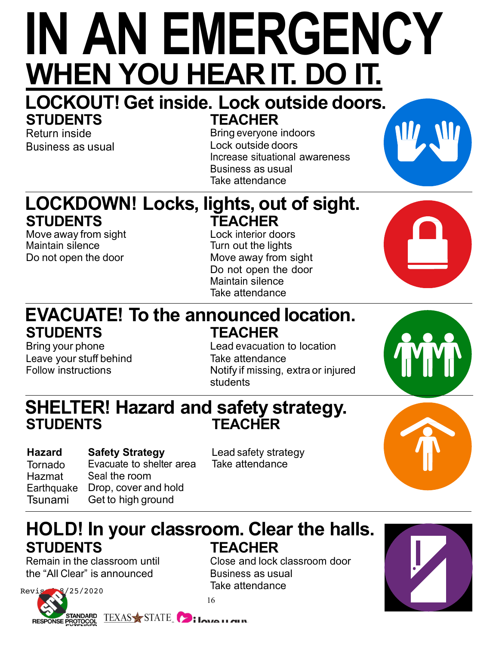# **IN AN EMERGENCY WHEN YOU HEARIT. DO IT.**

# **LOCKOUT! Get inside. Lock outside doors. STUDENTS**

Return inside Business as usual Bring everyone indoors Lock outside doors Increase situational awareness Business as usual Take attendance

# **LOCKDOWN! Locks, lights, out of sight. STUDENTS TEACHER**

Move away from sight Maintain silence Do not open the door

Lock interior doors Turn out the lights Move away from sight Do not open the door Maintain silence Take attendance

# **EVACUATE! To the announced location. STUDENTS TEACHER**

Bring your phone Leave your stuff behind Follow instructions

Lead evacuation to location Take attendance Notify if missing, extra or injured students

# **SHELTER! Hazard and safety strategy. STUDENTS**

#### **Hazard**

Tornado Hazmat Earthquake Drop, cover and hold Tsunami **Safety Strategy** Evacuate to shelter area Seal the room Get to high ground

Lead safety strategy Take attendance

# **HOLD! In your classroom. Clear the halls. STUDENTS TEACHER**

16

Remain in the classroom until the "All Clear" is announced

Revised 8/25/2020 RESPONSE PROTOCOL TEXAS STATE CHARGE ILOUS

Close and lock classroom door Business as usual Take attendance



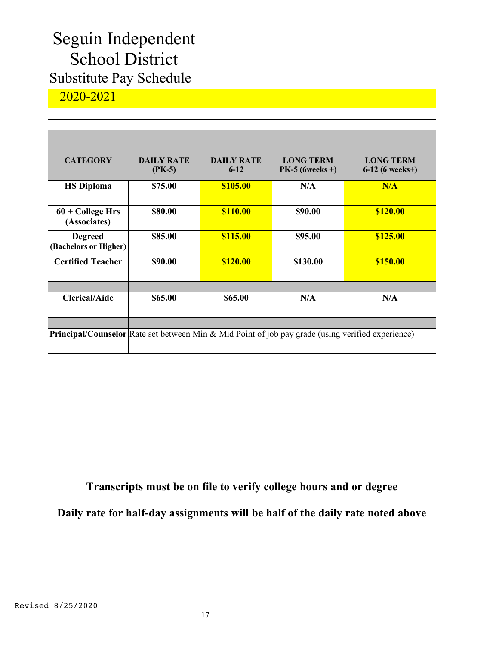# Seguin Independent School District Substitute Pay Schedule

### 2020-2021

| <b>CATEGORY</b>                         | <b>DAILY RATE</b>                                                                                        | <b>DAILY RATE</b> | <b>LONG TERM</b>  | <b>LONG TERM</b>  |
|-----------------------------------------|----------------------------------------------------------------------------------------------------------|-------------------|-------------------|-------------------|
|                                         | $(PK-5)$                                                                                                 | $6 - 12$          | $PK-5$ (6weeks +) | $6-12$ (6 weeks+) |
| <b>HS Diploma</b>                       | \$75.00                                                                                                  | \$105.00          | N/A               | N/A               |
| $60 + College Hrs$<br>(Associates)      | \$80.00                                                                                                  | <b>\$110.00</b>   | \$90.00           | \$120.00          |
| <b>Degreed</b><br>(Bachelors or Higher) | \$85.00                                                                                                  | \$115.00          | \$95.00           | \$125.00          |
| <b>Certified Teacher</b>                | \$90.00                                                                                                  | \$120.00          | \$130.00          | \$150.00          |
|                                         |                                                                                                          |                   |                   |                   |
| <b>Clerical/Aide</b>                    | \$65.00                                                                                                  | \$65.00           | N/A               | N/A               |
|                                         |                                                                                                          |                   |                   |                   |
|                                         | <b>Principal/Counselor</b> Rate set between Min & Mid Point of job pay grade (using verified experience) |                   |                   |                   |

**Transcripts must be on file to verify college hours and or degree**

**Daily rate for half-day assignments will be half of the daily rate noted above**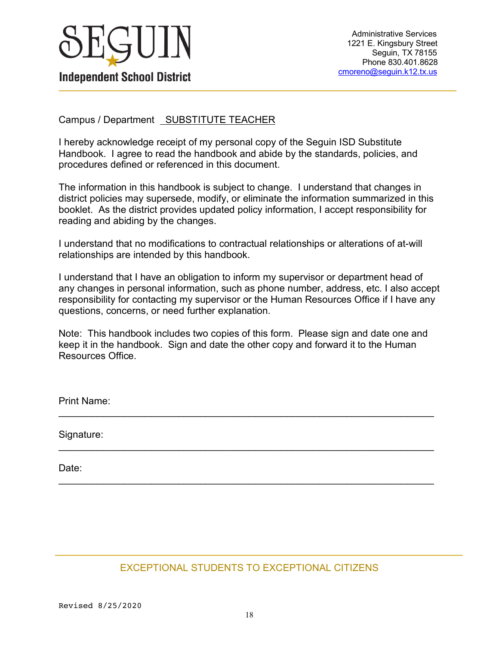

Campus / Department SUBSTITUTE TEACHER

I hereby acknowledge receipt of my personal copy of the Seguin ISD Substitute Handbook. I agree to read the handbook and abide by the standards, policies, and procedures defined or referenced in this document.

The information in this handbook is subject to change. I understand that changes in district policies may supersede, modify, or eliminate the information summarized in this booklet. As the district provides updated policy information, I accept responsibility for reading and abiding by the changes.

I understand that no modifications to contractual relationships or alterations of at-will relationships are intended by this handbook.

I understand that I have an obligation to inform my supervisor or department head of any changes in personal information, such as phone number, address, etc. I also accept responsibility for contacting my supervisor or the Human Resources Office if I have any questions, concerns, or need further explanation.

Note: This handbook includes two copies of this form. Please sign and date one and keep it in the handbook. Sign and date the other copy and forward it to the Human Resources Office.

\_\_\_\_\_\_\_\_\_\_\_\_\_\_\_\_\_\_\_\_\_\_\_\_\_\_\_\_\_\_\_\_\_\_\_\_\_\_\_\_\_\_\_\_\_\_\_\_\_\_\_\_\_\_\_\_\_\_\_\_\_\_\_\_\_\_\_\_\_

 $\mathcal{L}_\text{max}$  , and the contribution of the contribution of the contribution of the contribution of the contribution of the contribution of the contribution of the contribution of the contribution of the contribution of t

 $\mathcal{L}_\text{max}$  , and the contribution of the contribution of the contribution of the contribution of the contribution of the contribution of the contribution of the contribution of the contribution of the contribution of t

Print Name:

Signature:

Date:

#### EXCEPTIONAL STUDENTS TO EXCEPTIONAL CITIZENS